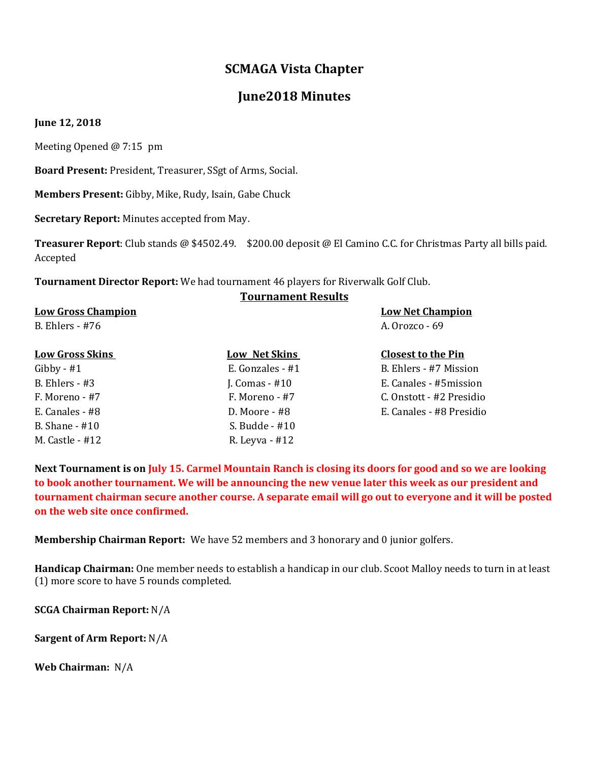# **SCMAGA Vista Chapter**

# **June2018 Minutes**

#### **June 12, 2018**

Meeting Opened @ 7:15 pm

**Board Present:** President, Treasurer, SSgt of Arms, Social.

**Members Present:** Gibby, Mike, Rudy, Isain, Gabe Chuck

**Secretary Report:** Minutes accepted from May.

**Treasurer Report**: Club stands @ \$4502.49. \$200.00 deposit @ El Camino C.C. for Christmas Party all bills paid. Accepted

**Tournament Director Report:** We had tournament 46 players for Riverwalk Golf Club.

### **Tournament Results**

#### **Low Gross Champion Low Net Champion**

B. Ehlers - #76 A. Orozco - 69

| <b>Low Gross Skins</b> | <b>Low Net Skins</b> | <b>Closest to the Pin</b> |
|------------------------|----------------------|---------------------------|
| Gibby - $#1$           | E. Gonzales - #1     | B. Ehlers - #7 Mission    |
| B. Ehlers - $#3$       | J. Comas $-$ #10     | E. Canales - #5mission    |
| F. Moreno - #7         | F. Moreno - #7       | C. Onstott - #2 Presidio  |
| E. Canales - #8        | $D. Moore - #8$      | E. Canales - #8 Presidio  |
| B. Shane $-$ #10       | S. Budde - #10       |                           |
| M. Castle - #12        | R. Leyva - #12       |                           |

**Next Tournament is on July 15. Carmel Mountain Ranch is closing its doors for good and so we are looking to book another tournament. We will be announcing the new venue later this week as our president and tournament chairman secure another course. A separate email will go out to everyone and it will be posted on the web site once confirmed.**

**Membership Chairman Report:** We have 52 members and 3 honorary and 0 junior golfers.

**Handicap Chairman:** One member needs to establish a handicap in our club. Scoot Malloy needs to turn in at least (1) more score to have 5 rounds completed.

**SCGA Chairman Report:** N/A

**Sargent of Arm Report:** N/A

**Web Chairman:** N/A